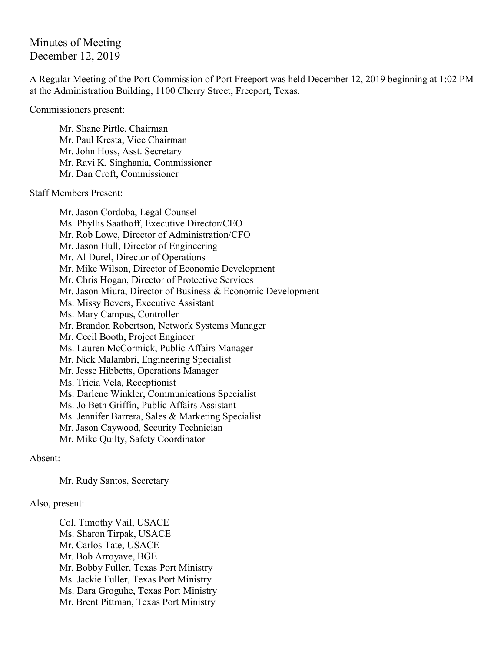Minutes of Meeting December 12, 2019

A Regular Meeting of the Port Commission of Port Freeport was held December 12, 2019 beginning at 1:02 PM at the Administration Building, 1100 Cherry Street, Freeport, Texas.

Commissioners present:

Mr. Shane Pirtle, Chairman Mr. Paul Kresta, Vice Chairman Mr. John Hoss, Asst. Secretary Mr. Ravi K. Singhania, Commissioner Mr. Dan Croft, Commissioner

Staff Members Present:

Mr. Jason Cordoba, Legal Counsel Ms. Phyllis Saathoff, Executive Director/CEO Mr. Rob Lowe, Director of Administration/CFO Mr. Jason Hull, Director of Engineering Mr. Al Durel, Director of Operations Mr. Mike Wilson, Director of Economic Development Mr. Chris Hogan, Director of Protective Services Mr. Jason Miura, Director of Business & Economic Development Ms. Missy Bevers, Executive Assistant Ms. Mary Campus, Controller Mr. Brandon Robertson, Network Systems Manager Mr. Cecil Booth, Project Engineer Ms. Lauren McCormick, Public Affairs Manager Mr. Nick Malambri, Engineering Specialist Mr. Jesse Hibbetts, Operations Manager Ms. Tricia Vela, Receptionist Ms. Darlene Winkler, Communications Specialist Ms. Jo Beth Griffin, Public Affairs Assistant Ms. Jennifer Barrera, Sales & Marketing Specialist Mr. Jason Caywood, Security Technician Mr. Mike Quilty, Safety Coordinator

Absent:

Mr. Rudy Santos, Secretary

Also, present:

Col. Timothy Vail, USACE Ms. Sharon Tirpak, USACE Mr. Carlos Tate, USACE Mr. Bob Arroyave, BGE Mr. Bobby Fuller, Texas Port Ministry Ms. Jackie Fuller, Texas Port Ministry Ms. Dara Groguhe, Texas Port Ministry Mr. Brent Pittman, Texas Port Ministry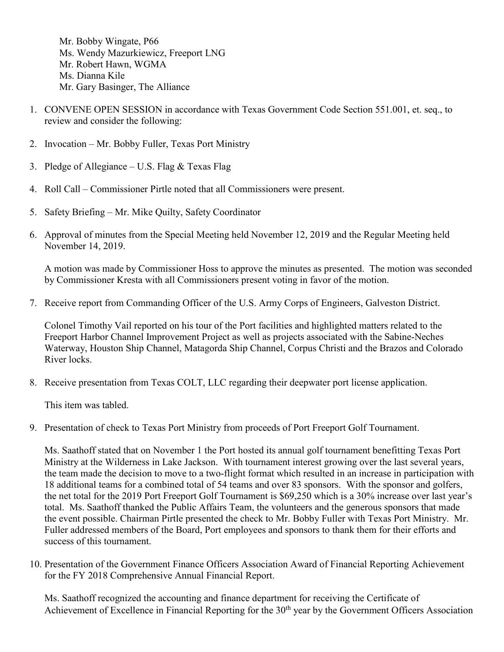Mr. Bobby Wingate, P66 Ms. Wendy Mazurkiewicz, Freeport LNG Mr. Robert Hawn, WGMA Ms. Dianna Kile Mr. Gary Basinger, The Alliance

- 1. CONVENE OPEN SESSION in accordance with Texas Government Code Section 551.001, et. seq., to review and consider the following:
- 2. Invocation Mr. Bobby Fuller, Texas Port Ministry
- 3. Pledge of Allegiance U.S. Flag  $&$  Texas Flag
- 4. Roll Call Commissioner Pirtle noted that all Commissioners were present.
- 5. Safety Briefing Mr. Mike Quilty, Safety Coordinator
- 6. Approval of minutes from the Special Meeting held November 12, 2019 and the Regular Meeting held November 14, 2019.

A motion was made by Commissioner Hoss to approve the minutes as presented. The motion was seconded by Commissioner Kresta with all Commissioners present voting in favor of the motion.

7. Receive report from Commanding Officer of the U.S. Army Corps of Engineers, Galveston District.

Colonel Timothy Vail reported on his tour of the Port facilities and highlighted matters related to the Freeport Harbor Channel Improvement Project as well as projects associated with the Sabine-Neches Waterway, Houston Ship Channel, Matagorda Ship Channel, Corpus Christi and the Brazos and Colorado River locks.

8. Receive presentation from Texas COLT, LLC regarding their deepwater port license application.

This item was tabled.

9. Presentation of check to Texas Port Ministry from proceeds of Port Freeport Golf Tournament.

Ms. Saathoff stated that on November 1 the Port hosted its annual golf tournament benefitting Texas Port Ministry at the Wilderness in Lake Jackson. With tournament interest growing over the last several years, the team made the decision to move to a two-flight format which resulted in an increase in participation with 18 additional teams for a combined total of 54 teams and over 83 sponsors. With the sponsor and golfers, the net total for the 2019 Port Freeport Golf Tournament is \$69,250 which is a 30% increase over last year's total. Ms. Saathoff thanked the Public Affairs Team, the volunteers and the generous sponsors that made the event possible. Chairman Pirtle presented the check to Mr. Bobby Fuller with Texas Port Ministry. Mr. Fuller addressed members of the Board, Port employees and sponsors to thank them for their efforts and success of this tournament.

10. Presentation of the Government Finance Officers Association Award of Financial Reporting Achievement for the FY 2018 Comprehensive Annual Financial Report.

Ms. Saathoff recognized the accounting and finance department for receiving the Certificate of Achievement of Excellence in Financial Reporting for the 30<sup>th</sup> year by the Government Officers Association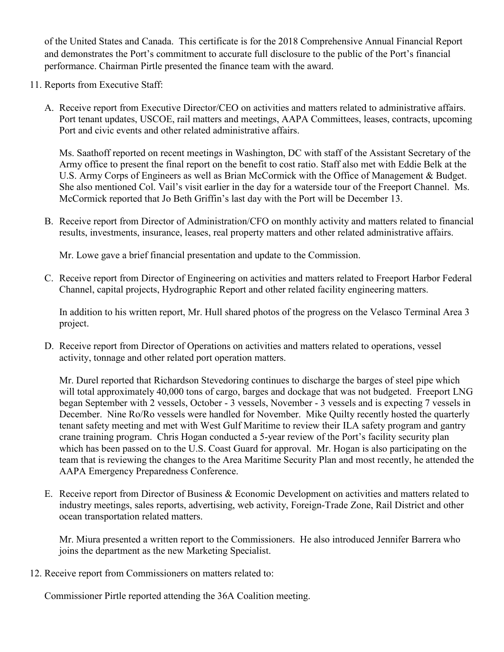of the United States and Canada. This certificate is for the 2018 Comprehensive Annual Financial Report and demonstrates the Port's commitment to accurate full disclosure to the public of the Port's financial performance. Chairman Pirtle presented the finance team with the award.

- 11. Reports from Executive Staff:
	- A. Receive report from Executive Director/CEO on activities and matters related to administrative affairs. Port tenant updates, USCOE, rail matters and meetings, AAPA Committees, leases, contracts, upcoming Port and civic events and other related administrative affairs.

Ms. Saathoff reported on recent meetings in Washington, DC with staff of the Assistant Secretary of the Army office to present the final report on the benefit to cost ratio. Staff also met with Eddie Belk at the U.S. Army Corps of Engineers as well as Brian McCormick with the Office of Management & Budget. She also mentioned Col. Vail's visit earlier in the day for a waterside tour of the Freeport Channel. Ms. McCormick reported that Jo Beth Griffin's last day with the Port will be December 13.

B. Receive report from Director of Administration/CFO on monthly activity and matters related to financial results, investments, insurance, leases, real property matters and other related administrative affairs.

Mr. Lowe gave a brief financial presentation and update to the Commission.

C. Receive report from Director of Engineering on activities and matters related to Freeport Harbor Federal Channel, capital projects, Hydrographic Report and other related facility engineering matters.

In addition to his written report, Mr. Hull shared photos of the progress on the Velasco Terminal Area 3 project.

D. Receive report from Director of Operations on activities and matters related to operations, vessel activity, tonnage and other related port operation matters.

Mr. Durel reported that Richardson Stevedoring continues to discharge the barges of steel pipe which will total approximately 40,000 tons of cargo, barges and dockage that was not budgeted. Freeport LNG began September with 2 vessels, October - 3 vessels, November - 3 vessels and is expecting 7 vessels in December. Nine Ro/Ro vessels were handled for November. Mike Quilty recently hosted the quarterly tenant safety meeting and met with West Gulf Maritime to review their ILA safety program and gantry crane training program. Chris Hogan conducted a 5-year review of the Port's facility security plan which has been passed on to the U.S. Coast Guard for approval. Mr. Hogan is also participating on the team that is reviewing the changes to the Area Maritime Security Plan and most recently, he attended the AAPA Emergency Preparedness Conference.

E. Receive report from Director of Business & Economic Development on activities and matters related to industry meetings, sales reports, advertising, web activity, Foreign-Trade Zone, Rail District and other ocean transportation related matters.

Mr. Miura presented a written report to the Commissioners. He also introduced Jennifer Barrera who joins the department as the new Marketing Specialist.

12. Receive report from Commissioners on matters related to:

Commissioner Pirtle reported attending the 36A Coalition meeting.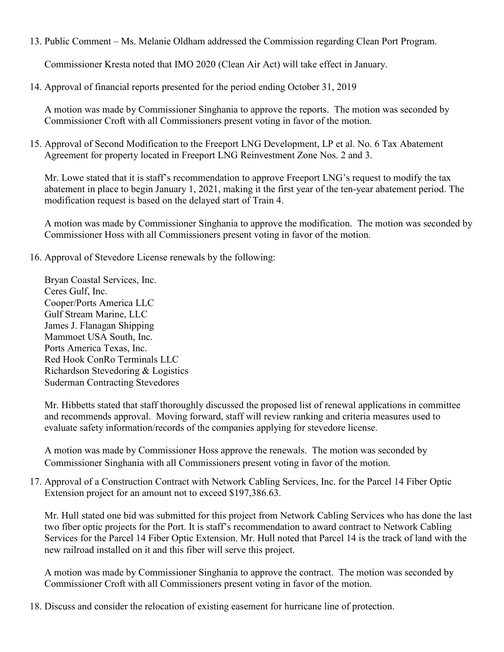13. Public Comment – Ms. Melanie Oldham addressed the Commission regarding Clean Port Program.

Commissioner Kresta noted that IMO 2020 (Clean Air Act) will take effect in January.

14. Approval of financial reports presented for the period ending October 31, 2019

A motion was made by Commissioner Singhania to approve the reports. The motion was seconded by Commissioner Croft with all Commissioners present voting in favor of the motion.

15. Approval of Second Modification to the Freeport LNG Development, LP et al. No. 6 Tax Abatement Agreement for property located in Freeport LNG Reinvestment Zone Nos. 2 and 3.

Mr. Lowe stated that it is staff's recommendation to approve Freeport LNG's request to modify the tax abatement in place to begin January 1, 2021, making it the first year of the ten-year abatement period. The modification request is based on the delayed start of Train 4.

A motion was made by Commissioner Singhania to approve the modification. The motion was seconded by Commissioner Hoss with all Commissioners present voting in favor of the motion.

16. Approval of Stevedore License renewals by the following:

Bryan Coastal Services, Inc. Ceres Gulf, Inc. Cooper/Ports America LLC Gulf Stream Marine, LLC James J. Flanagan Shipping Mammoet USA South, Inc. Ports America Texas, Inc. Red Hook ConRo Terminals LLC Richardson Stevedoring & Logistics Suderman Contracting Stevedores

Mr. Hibbetts stated that staff thoroughly discussed the proposed list of renewal applications in committee and recommends approval. Moving forward, staff will review ranking and criteria measures used to evaluate safety information/records of the companies applying for stevedore license.

A motion was made by Commissioner Hoss approve the renewals. The motion was seconded by Commissioner Singhania with all Commissioners present voting in favor of the motion.

17. Approval of a Construction Contract with Network Cabling Services, Inc. for the Parcel 14 Fiber Optic Extension project for an amount not to exceed \$197,386.63.

Mr. Hull stated one bid was submitted for this project from Network Cabling Services who has done the last two fiber optic projects for the Port. It is staff's recommendation to award contract to Network Cabling Services for the Parcel 14 Fiber Optic Extension. Mr. Hull noted that Parcel 14 is the track of land with the new railroad installed on it and this fiber will serve this project.

A motion was made by Commissioner Singhania to approve the contract. The motion was seconded by Commissioner Croft with all Commissioners present voting in favor of the motion.

18. Discuss and consider the relocation of existing easement for hurricane line of protection.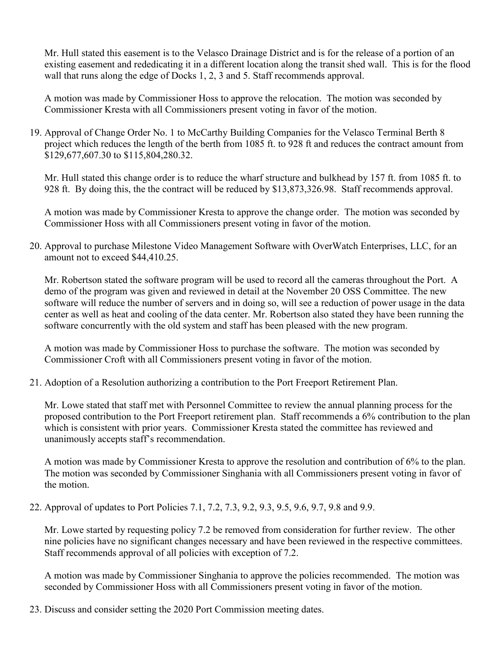Mr. Hull stated this easement is to the Velasco Drainage District and is for the release of a portion of an existing easement and rededicating it in a different location along the transit shed wall. This is for the flood wall that runs along the edge of Docks 1, 2, 3 and 5. Staff recommends approval.

A motion was made by Commissioner Hoss to approve the relocation. The motion was seconded by Commissioner Kresta with all Commissioners present voting in favor of the motion.

19. Approval of Change Order No. 1 to McCarthy Building Companies for the Velasco Terminal Berth 8 project which reduces the length of the berth from 1085 ft. to 928 ft and reduces the contract amount from \$129,677,607.30 to \$115,804,280.32.

Mr. Hull stated this change order is to reduce the wharf structure and bulkhead by 157 ft. from 1085 ft. to 928 ft. By doing this, the the contract will be reduced by \$13,873,326.98. Staff recommends approval.

A motion was made by Commissioner Kresta to approve the change order. The motion was seconded by Commissioner Hoss with all Commissioners present voting in favor of the motion.

20. Approval to purchase Milestone Video Management Software with OverWatch Enterprises, LLC, for an amount not to exceed \$44,410.25.

Mr. Robertson stated the software program will be used to record all the cameras throughout the Port. A demo of the program was given and reviewed in detail at the November 20 OSS Committee. The new software will reduce the number of servers and in doing so, will see a reduction of power usage in the data center as well as heat and cooling of the data center. Mr. Robertson also stated they have been running the software concurrently with the old system and staff has been pleased with the new program.

A motion was made by Commissioner Hoss to purchase the software. The motion was seconded by Commissioner Croft with all Commissioners present voting in favor of the motion.

21. Adoption of a Resolution authorizing a contribution to the Port Freeport Retirement Plan.

Mr. Lowe stated that staff met with Personnel Committee to review the annual planning process for the proposed contribution to the Port Freeport retirement plan. Staff recommends a 6% contribution to the plan which is consistent with prior years. Commissioner Kresta stated the committee has reviewed and unanimously accepts staff's recommendation.

A motion was made by Commissioner Kresta to approve the resolution and contribution of 6% to the plan. The motion was seconded by Commissioner Singhania with all Commissioners present voting in favor of the motion.

22. Approval of updates to Port Policies 7.1, 7.2, 7.3, 9.2, 9.3, 9.5, 9.6, 9.7, 9.8 and 9.9.

Mr. Lowe started by requesting policy 7.2 be removed from consideration for further review. The other nine policies have no significant changes necessary and have been reviewed in the respective committees. Staff recommends approval of all policies with exception of 7.2.

A motion was made by Commissioner Singhania to approve the policies recommended. The motion was seconded by Commissioner Hoss with all Commissioners present voting in favor of the motion.

23. Discuss and consider setting the 2020 Port Commission meeting dates.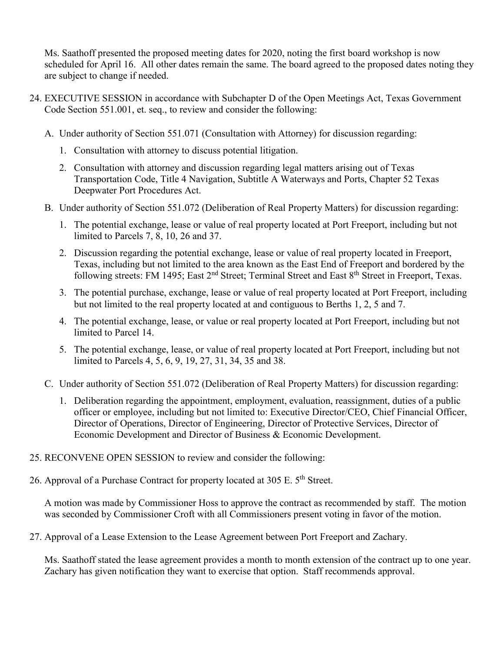Ms. Saathoff presented the proposed meeting dates for 2020, noting the first board workshop is now scheduled for April 16. All other dates remain the same. The board agreed to the proposed dates noting they are subject to change if needed.

- 24. EXECUTIVE SESSION in accordance with Subchapter D of the Open Meetings Act, Texas Government Code Section 551.001, et. seq., to review and consider the following:
	- A. Under authority of Section 551.071 (Consultation with Attorney) for discussion regarding:
		- 1. Consultation with attorney to discuss potential litigation.
		- 2. Consultation with attorney and discussion regarding legal matters arising out of Texas Transportation Code, Title 4 Navigation, Subtitle A Waterways and Ports, Chapter 52 Texas Deepwater Port Procedures Act.
	- B. Under authority of Section 551.072 (Deliberation of Real Property Matters) for discussion regarding:
		- 1. The potential exchange, lease or value of real property located at Port Freeport, including but not limited to Parcels 7, 8, 10, 26 and 37.
		- 2. Discussion regarding the potential exchange, lease or value of real property located in Freeport, Texas, including but not limited to the area known as the East End of Freeport and bordered by the following streets: FM 1495; East 2<sup>nd</sup> Street; Terminal Street and East 8<sup>th</sup> Street in Freeport, Texas.
		- 3. The potential purchase, exchange, lease or value of real property located at Port Freeport, including but not limited to the real property located at and contiguous to Berths 1, 2, 5 and 7.
		- 4. The potential exchange, lease, or value or real property located at Port Freeport, including but not limited to Parcel 14.
		- 5. The potential exchange, lease, or value of real property located at Port Freeport, including but not limited to Parcels 4, 5, 6, 9, 19, 27, 31, 34, 35 and 38.
	- C. Under authority of Section 551.072 (Deliberation of Real Property Matters) for discussion regarding:
		- 1. Deliberation regarding the appointment, employment, evaluation, reassignment, duties of a public officer or employee, including but not limited to: Executive Director/CEO, Chief Financial Officer, Director of Operations, Director of Engineering, Director of Protective Services, Director of Economic Development and Director of Business & Economic Development.
- 25. RECONVENE OPEN SESSION to review and consider the following:
- 26. Approval of a Purchase Contract for property located at 305 E. 5<sup>th</sup> Street.

A motion was made by Commissioner Hoss to approve the contract as recommended by staff. The motion was seconded by Commissioner Croft with all Commissioners present voting in favor of the motion.

27. Approval of a Lease Extension to the Lease Agreement between Port Freeport and Zachary.

Ms. Saathoff stated the lease agreement provides a month to month extension of the contract up to one year. Zachary has given notification they want to exercise that option. Staff recommends approval.